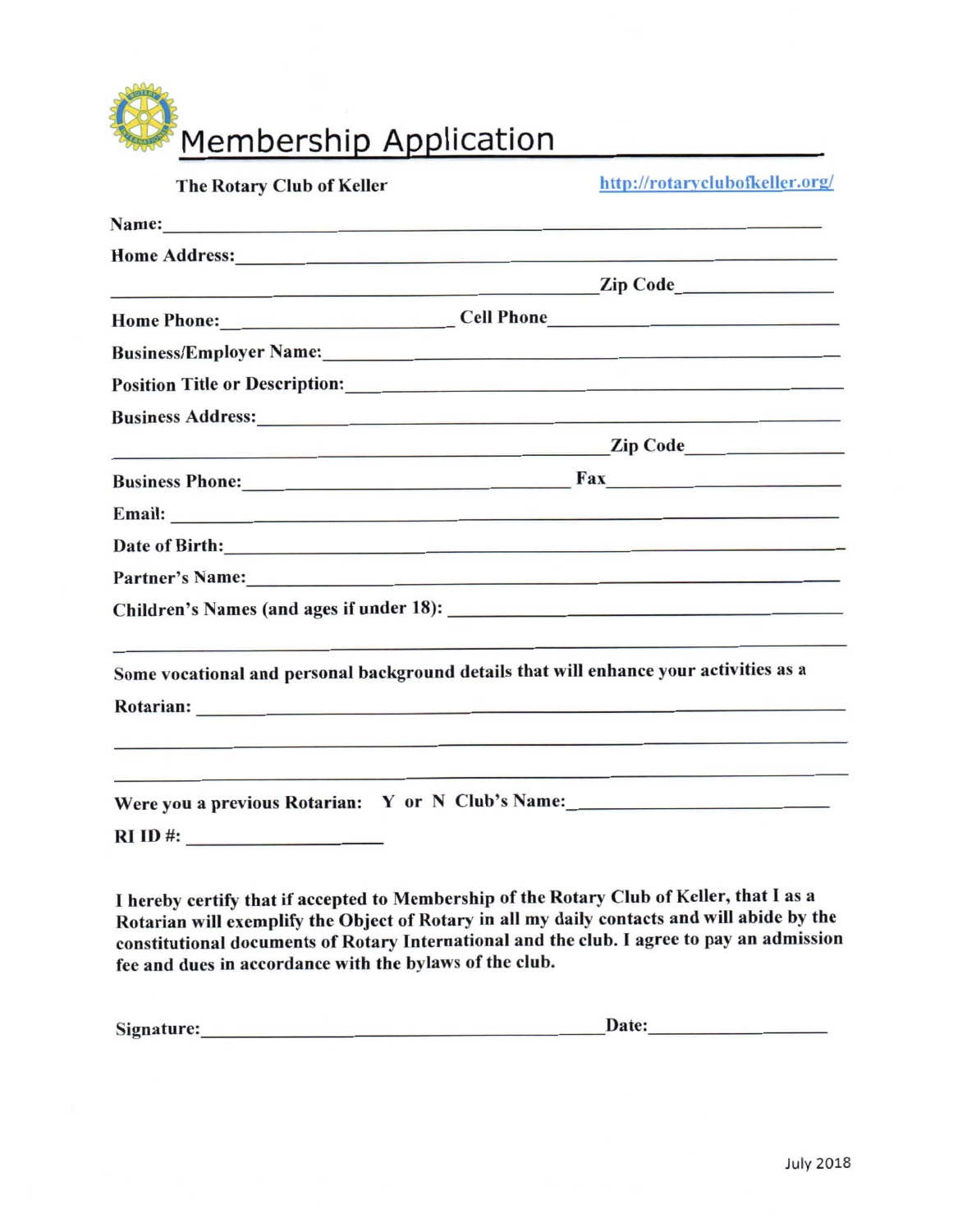Membership Application

| The Rotary Club of Keller                                                                                                                                                                                                           | http://rotaryclubofkeller.org/                                                         |  |  |
|-------------------------------------------------------------------------------------------------------------------------------------------------------------------------------------------------------------------------------------|----------------------------------------------------------------------------------------|--|--|
| Name: Name:                                                                                                                                                                                                                         |                                                                                        |  |  |
| Home Address: New York Changes and the Changes of the Changes of the Changes of the Changes of the Changes of the Changes of the Changes of the Changes of the Changes of the Changes of the Changes of the Changes of the Cha      |                                                                                        |  |  |
| <b>Example 2 Example 2 Example 2 Example 2 Example 2 Example 2 Example 2 Example 2 Example 2</b>                                                                                                                                    |                                                                                        |  |  |
|                                                                                                                                                                                                                                     | Home Phone: Cell Phone Cell Phone                                                      |  |  |
|                                                                                                                                                                                                                                     |                                                                                        |  |  |
| Position Title or Description: Note that the control of the control of the control of the control of the control of the control of the control of the control of the control of the control of the control of the control of t      |                                                                                        |  |  |
| <b>Business Address:</b> No. 2016. The Superior Section 2016. The Superior Section 2016. The Superior Section 2016. The Superior Section 2016. The Superior Section 2016. The Superior Section 2016. The Superior Section 2016. The |                                                                                        |  |  |
|                                                                                                                                                                                                                                     | <b>Example 2 Example 2 Example 2 Example 2 Example 2 Example 2 Example 2 Example 2</b> |  |  |
| Business Phone: Fax                                                                                                                                                                                                                 |                                                                                        |  |  |
| Email: No. 2008. The Commission of the Commission of the Commission of the Commission of the Commission of the Commission of the Commission of the Commission of the Commission of the Commission of the Commission of the Com      |                                                                                        |  |  |
|                                                                                                                                                                                                                                     |                                                                                        |  |  |
| Partner's Name: the contract of the contract of the contract of the contract of the contract of the contract of the contract of the contract of the contract of the contract of the contract of the contract of the contract o      |                                                                                        |  |  |
|                                                                                                                                                                                                                                     |                                                                                        |  |  |
| Some vocational and personal background details that will enhance your activities as a                                                                                                                                              |                                                                                        |  |  |
|                                                                                                                                                                                                                                     |                                                                                        |  |  |
|                                                                                                                                                                                                                                     |                                                                                        |  |  |
| Were you a previous Rotarian: Y or N Club's Name:________________________________                                                                                                                                                   |                                                                                        |  |  |
|                                                                                                                                                                                                                                     |                                                                                        |  |  |
|                                                                                                                                                                                                                                     |                                                                                        |  |  |

I hereby certify that if accepted to Membership of the Rotary Club of Keller, that I as a Rotarian will exemplify the Object of Rotary in all my daily contacts and will abide by the constitutional documents of Rotary International and the club. I agree to pay an admission fee and dues in accordance with the bylaws of the club.

| Signature: | Date: |
|------------|-------|
|            |       |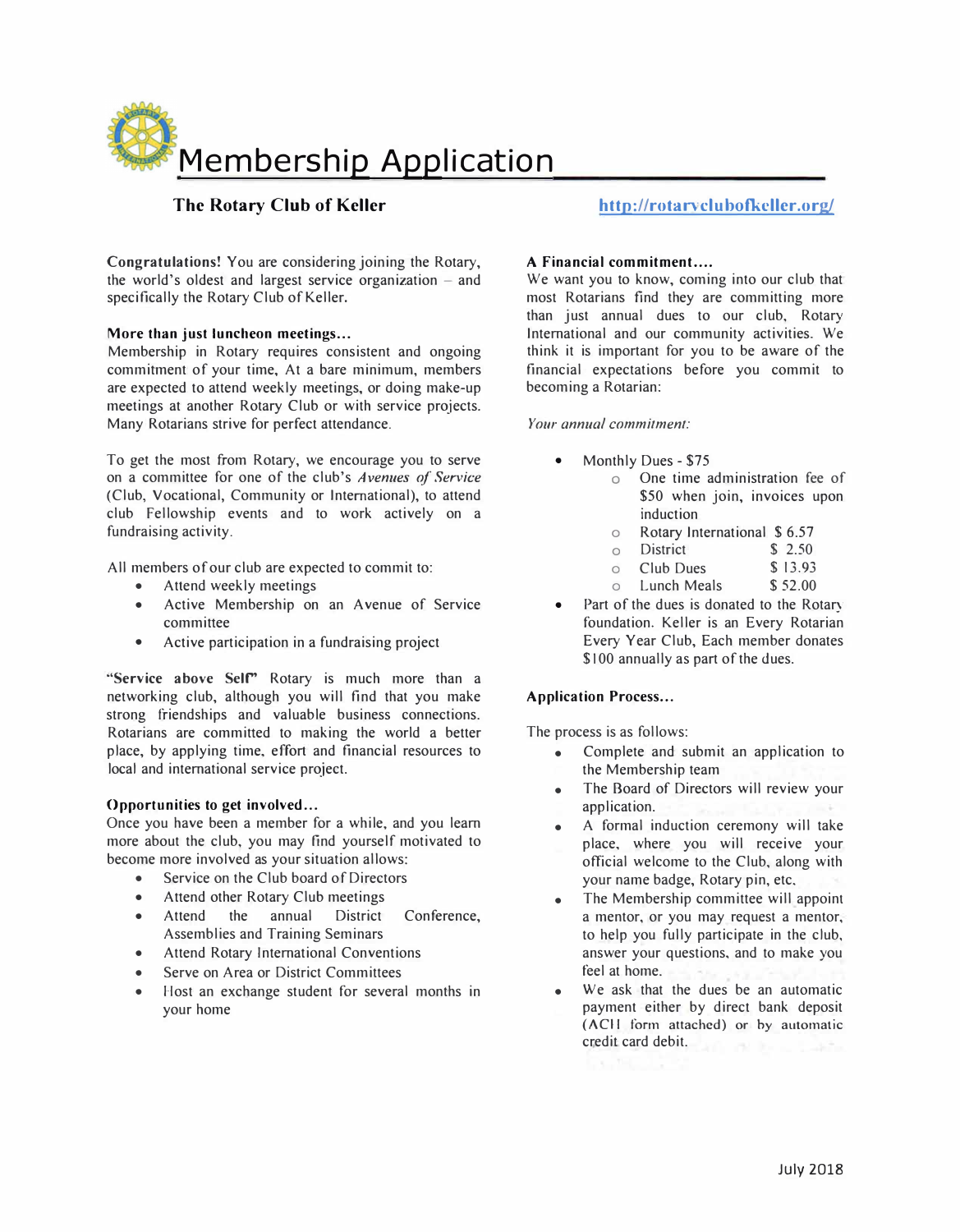

## **The Rotary Club of Keller**

**Congratulations!** You are considering joining the Rotary, the world's oldest and largest service organization  $-$  and specifically the Rotary Club of Keller.

## More than just luncheon meetings...

Membership in Rotary requires consistent and ongoing commitment of your time, At a bare minimum, members are expected to attend weekly meetings, or doing make-up meetings at another Rotary Club or with service projects. Many Rotarians strive for perfect attendance.

To get the most from Rotary, we encourage you to serve on a committee for one of the club's *Avenues of Se<sup>r</sup>vice*  (Club, Vocational, Community or International), to attend club Fellowship events and to work actively on a fundraising activity.

All members of our club are expected to commit to:

- Attend weekly meetings
- Active Membership on an Avenue of Service committee
- Active participation in a fundraising project

**"Service above Selr'** Rotary is much more than a networking club, although you will find that you make strong friendships and valuable business connections. Rotarians are committed to making the world a better place, by applying time, effort and financial resources to local and international service project.

### **Opportunities to get involved ...**

Once you have been a member for a while, and you learn more about the club, you may find yourself motivated to become more involved as your situation allows:

- Service on the Club board of Directors
- Attend other Rotary Club meetings
- Attend the annual District Conference, Assemblies and Training Seminars
- Attend Rotary International Conventions
- Serve on Area or District Committees
- Host an exchange student for several months in your home

# **http://rotar<sup>v</sup> clubofkcller.org/**

### A Financial commitment....

We want you to know, coming into our club that most Rotarians find they are committing more than just annual dues to our club, Rotary International and our community activities. We think it is important for you to be aware of the financial expectations before you commit to becoming a Rotarian:

### *Your annual commitment:*

- Monthly Dues - \$75
	- o One time administration fee of \$50 when join, invoices upon induction
		- $\circ$ Rotary International \$ 6.57
		- $\Omega$ District \$ 2.50
		- $\Omega$ Club Dues \$13.93
		- $\cap$ Lunch Meals \$52.00
- Part of the dues is donated to the Rotary foundation. Keller is an Every Rotarian Every Year Club, Each member donates \$100 annually as part of the dues.

### **Application Process...**

The process is as follows:

- Complete and submit an application to the Membership team
- The Board of Directors will review your application.
- A formal induction ceremony will take place, where you will receive your official welcome to the Club, along with your name badge, Rotary pin, etc.
- The Membership committee will appoint a mentor, or you may request a mentor, to help you fully participate in the club, answer your questions, and to make you feel at home.
- We ask that the dues be an automatic payment either by direct bank deposit (ACH **form attached) or by automatic** credit card debit.